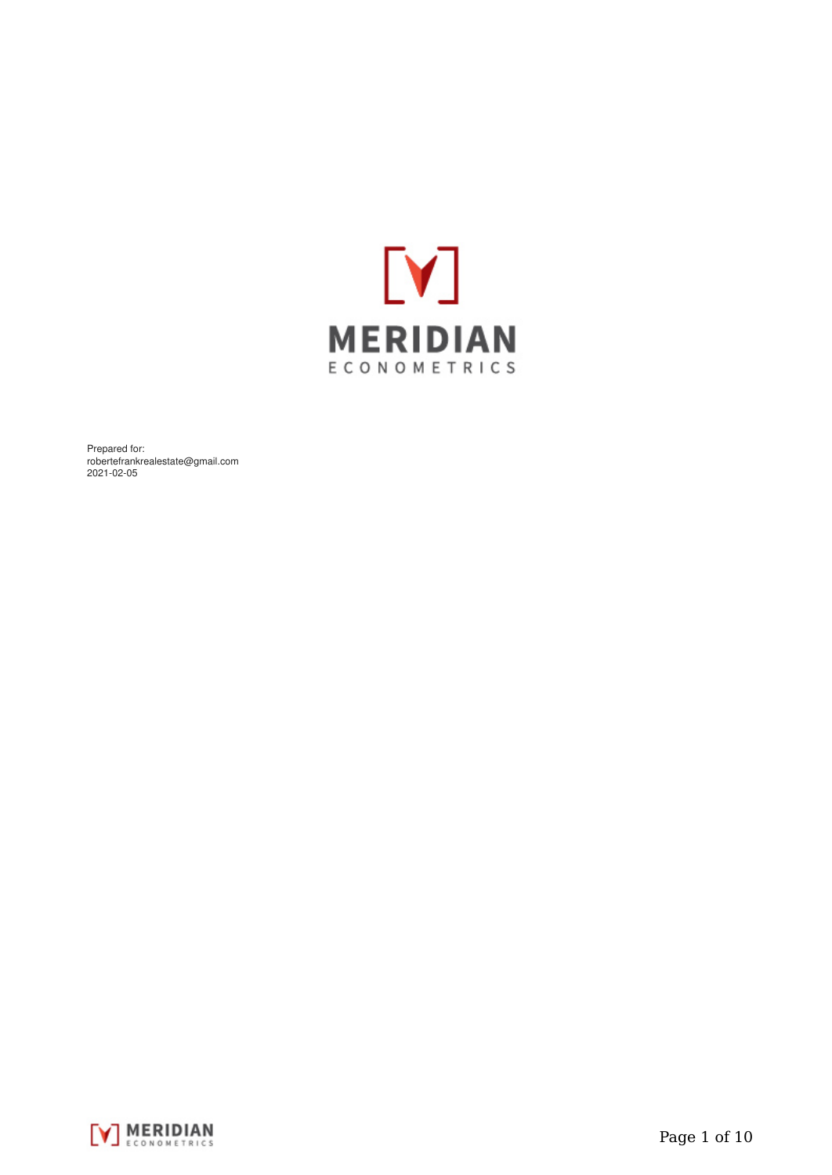

Prepared for: robertefrankrealestate@gmail.com 2021-02-05

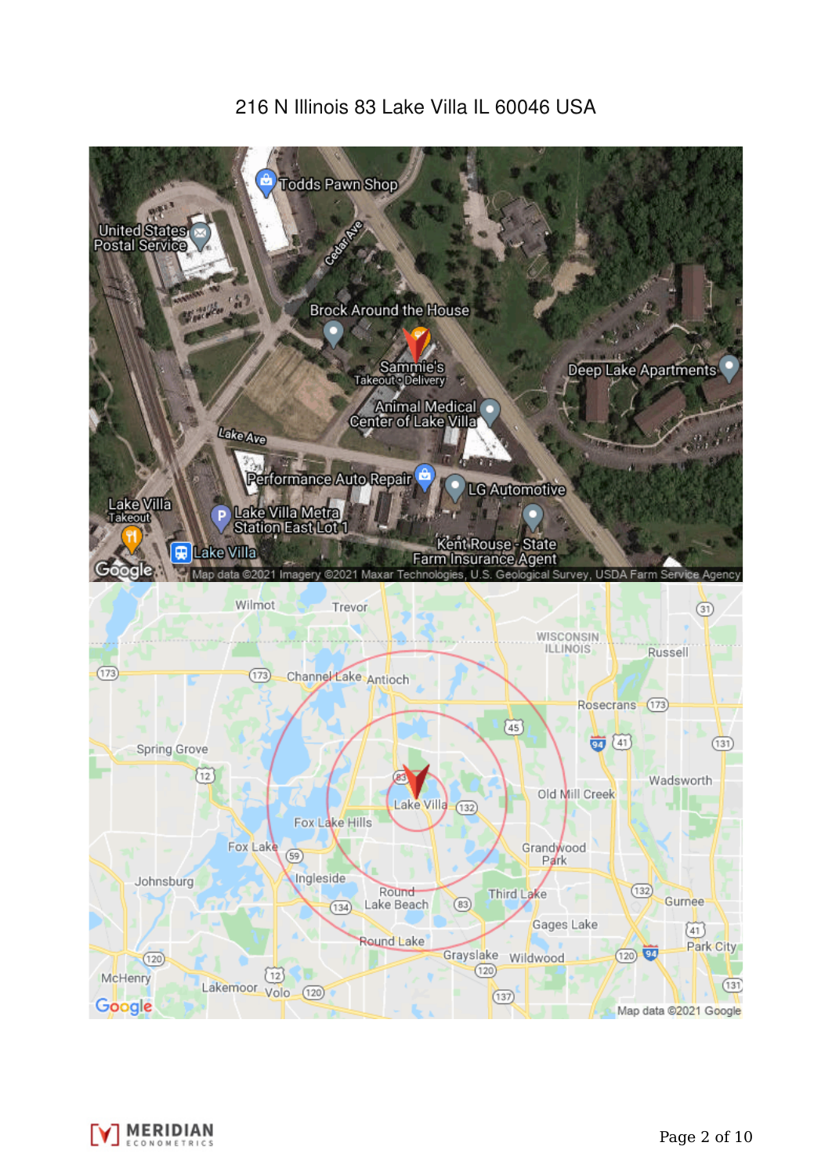# 216 N Illinois 83 Lake Villa IL 60046 USA



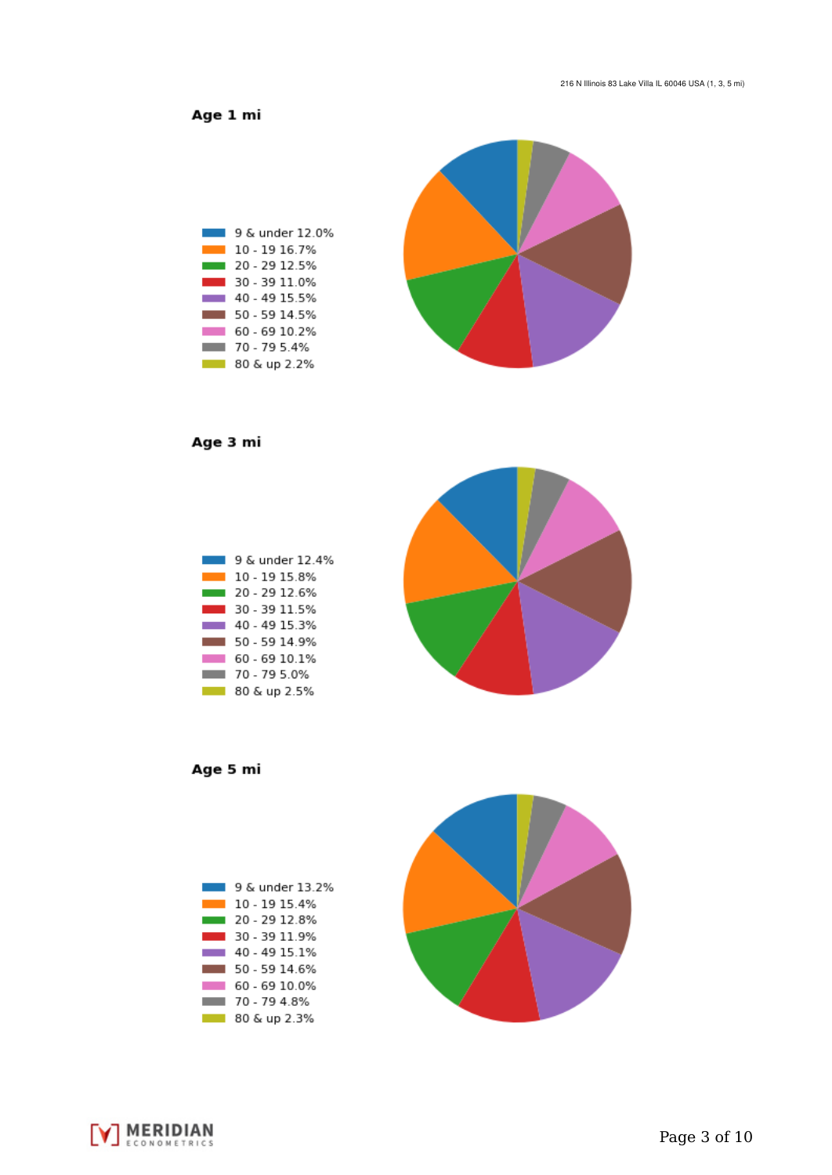Age 1 mi



Age 3 mi



Age 5 mi





**V MERIDIAN**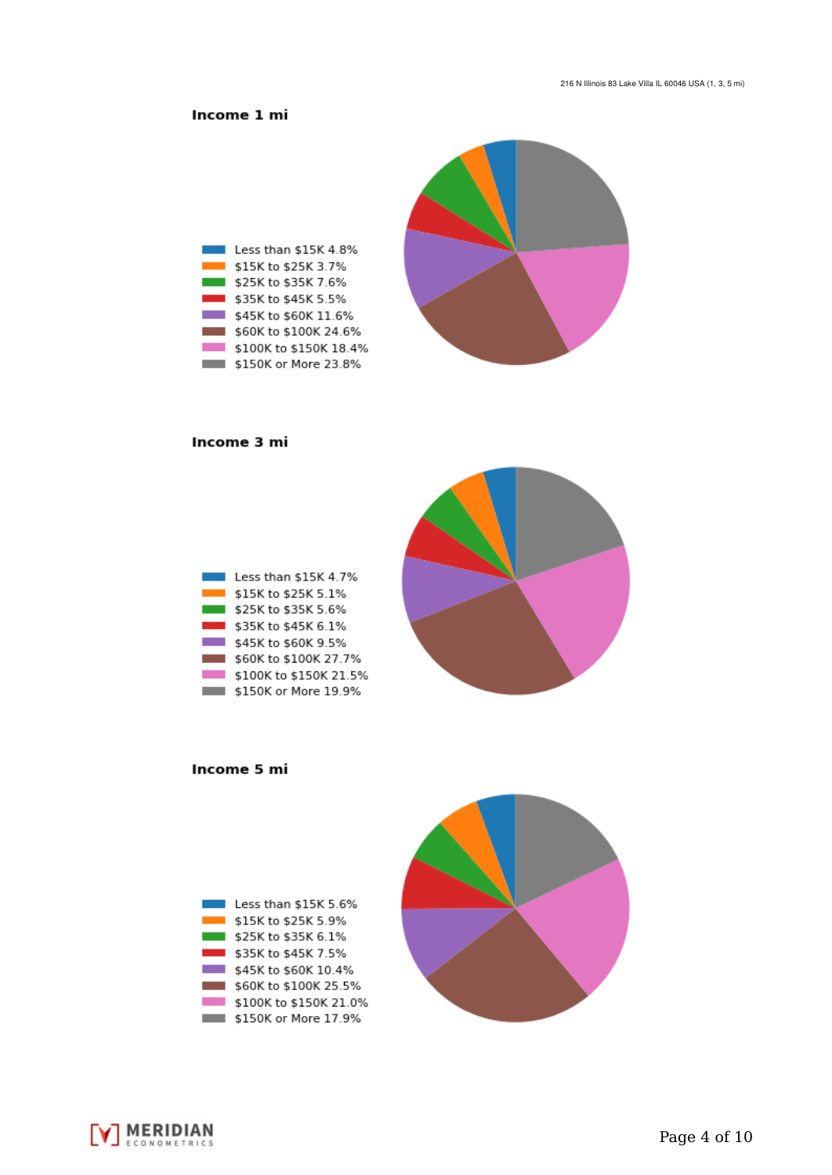## Income 1 mi



#### Income 3 mi

| Less than \$15K 4.7%   |
|------------------------|
| \$15K to \$25K 5.1%    |
| \$25K to \$35K 5.6%    |
| \$35K to \$45K 6.1%    |
| \$45K to \$60K 9.5%    |
| \$60K to \$100K 27.7%  |
| \$100K to \$150K 21.5% |
| \$150K or More 19.9%   |



Income 5 mi



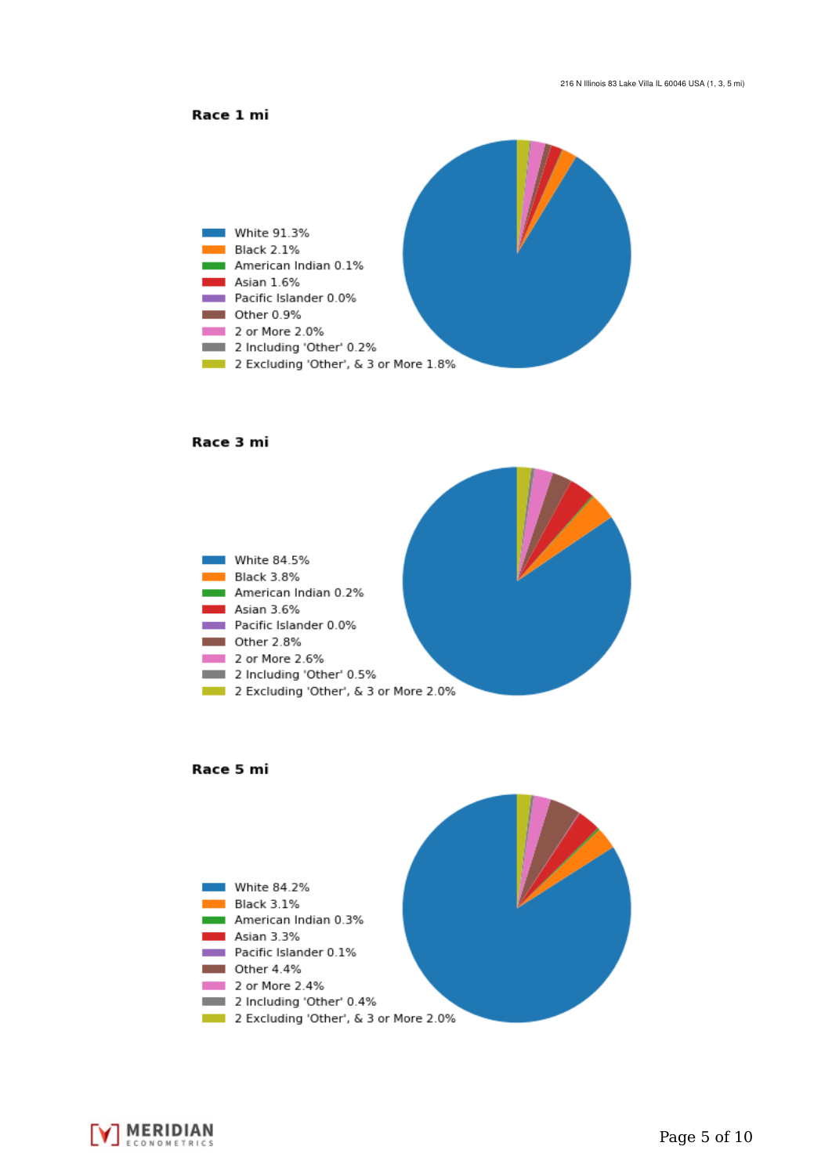



#### Race 3 mi







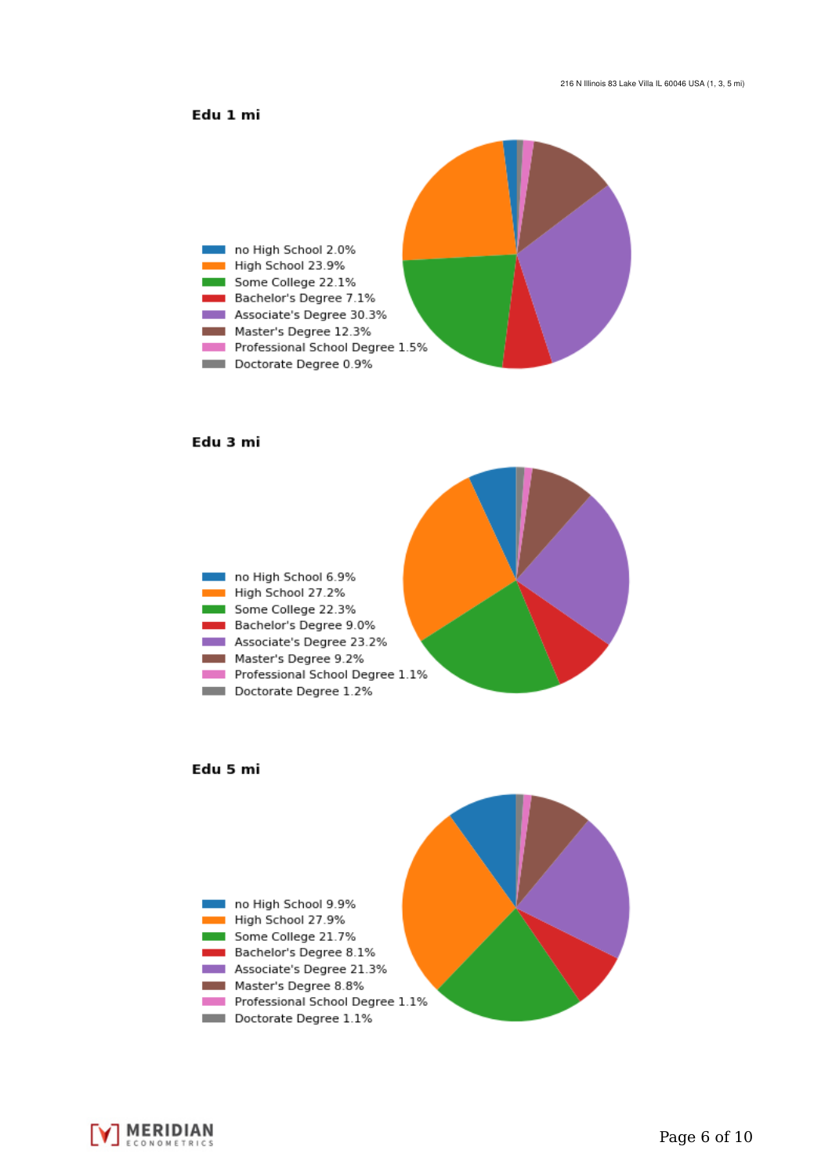### Edu 1 mi



#### Edu 3 mi







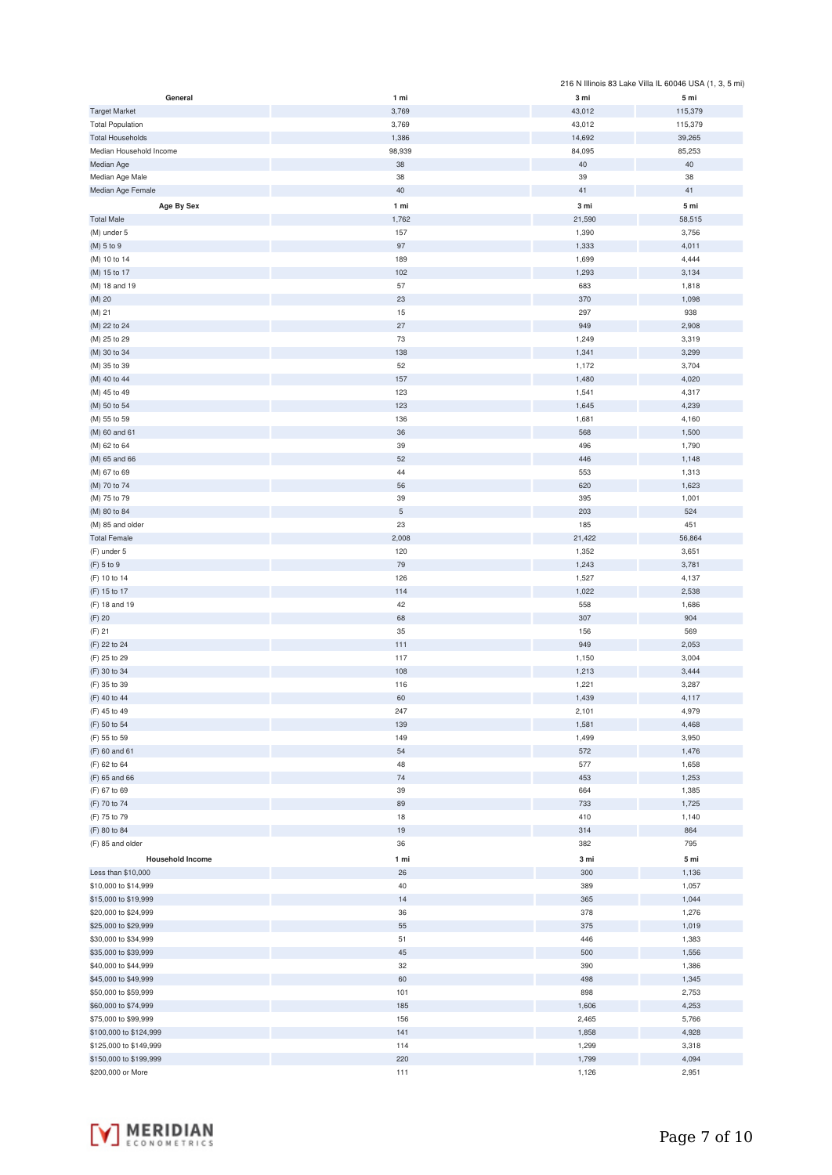|                         |             |        | 216 N Illinois 83 Lake Villa IL 60046 USA (1, 3, 5 mi) |
|-------------------------|-------------|--------|--------------------------------------------------------|
| General                 | 1 mi        | 3 mi   | 5 mi                                                   |
| <b>Target Market</b>    | 3,769       | 43,012 | 115,379                                                |
| <b>Total Population</b> | 3,769       | 43,012 | 115,379                                                |
| <b>Total Households</b> | 1,386       | 14,692 | 39,265                                                 |
| Median Household Income | 98,939      | 84,095 | 85,253                                                 |
|                         |             |        |                                                        |
| Median Age              | 38          | 40     | 40                                                     |
| Median Age Male         | 38          | 39     | 38                                                     |
| Median Age Female       | 40          | 41     | 41                                                     |
| Age By Sex              | 1 mi        | 3 mi   | 5 mi                                                   |
| <b>Total Male</b>       | 1,762       | 21,590 | 58,515                                                 |
| (M) under 5             | 157         | 1,390  | 3,756                                                  |
| (M) 5 to 9              | 97          | 1,333  | 4,011                                                  |
|                         |             |        |                                                        |
| (M) 10 to 14            | 189         | 1,699  | 4,444                                                  |
| (M) 15 to 17            | 102         | 1,293  | 3,134                                                  |
| (M) 18 and 19           | 57          | 683    | 1,818                                                  |
| (M) 20                  | 23          | 370    | 1,098                                                  |
| (M) 21                  | 15          | 297    | 938                                                    |
| (M) 22 to 24            | 27          | 949    | 2,908                                                  |
| (M) 25 to 29            | $73\,$      | 1,249  | 3,319                                                  |
| (M) 30 to 34            | 138         | 1,341  | 3,299                                                  |
|                         |             |        |                                                        |
| (M) 35 to 39            | 52          | 1,172  | 3,704                                                  |
| (M) 40 to 44            | 157         | 1,480  | 4,020                                                  |
| (M) 45 to 49            | 123         | 1,541  | 4,317                                                  |
| (M) 50 to 54            | 123         | 1,645  | 4,239                                                  |
| (M) 55 to 59            | 136         | 1,681  | 4,160                                                  |
| (M) 60 and 61           | 36          | 568    | 1,500                                                  |
| (M) 62 to 64            | 39          | 496    | 1,790                                                  |
|                         | 52          |        |                                                        |
| (M) 65 and 66           |             | 446    | 1,148                                                  |
| (M) 67 to 69            | 44          | 553    | 1,313                                                  |
| (M) 70 to 74            | 56          | 620    | 1,623                                                  |
| (M) 75 to 79            | 39          | 395    | 1,001                                                  |
| (M) 80 to 84            | $\,$ 5 $\,$ | 203    | 524                                                    |
| (M) 85 and older        | 23          | 185    | 451                                                    |
| <b>Total Female</b>     | 2,008       | 21,422 | 56,864                                                 |
| (F) under 5             | 120         | 1,352  | 3,651                                                  |
|                         |             |        |                                                        |
| (F) 5 to 9              | 79          | 1,243  | 3,781                                                  |
| (F) 10 to 14            | 126         | 1,527  | 4,137                                                  |
| (F) 15 to 17            | 114         | 1,022  | 2,538                                                  |
| (F) 18 and 19           | 42          | 558    | 1,686                                                  |
| (F) 20                  | 68          | 307    | 904                                                    |
| (F) 21                  | 35          | 156    | 569                                                    |
| (F) 22 to 24            | 111         | 949    | 2,053                                                  |
|                         | 117         |        |                                                        |
| (F) 25 to 29            |             | 1,150  | 3,004                                                  |
| (F) 30 to 34            | 108         | 1,213  | 3,444                                                  |
| (F) 35 to 39            | 116         | 1,221  | 3,287                                                  |
| (F) 40 to 44            | 60          | 1,439  | 4,117                                                  |
| (F) 45 to 49            | 247         | 2,101  | 4,979                                                  |
| (F) 50 to 54            | 139         | 1,581  | 4,468                                                  |
| (F) 55 to 59            | 149         | 1,499  | 3,950                                                  |
| (F) 60 and 61           | 54          | 572    |                                                        |
|                         |             |        | 1,476                                                  |
| (F) 62 to 64            | 48          | 577    | 1,658                                                  |
| (F) 65 and 66           | 74          | 453    | 1,253                                                  |
| (F) 67 to 69            | 39          | 664    | 1,385                                                  |
| (F) 70 to 74            | 89          | 733    | 1,725                                                  |
| (F) 75 to 79            | 18          | 410    | 1,140                                                  |
| (F) 80 to 84            | 19          | 314    | 864                                                    |
| (F) 85 and older        | 36          | 382    | 795                                                    |
|                         |             |        |                                                        |
| <b>Household Income</b> | 1 mi        | 3 mi   | 5 mi                                                   |
| Less than \$10,000      | 26          | 300    | 1,136                                                  |
| \$10,000 to \$14,999    | 40          | 389    | 1,057                                                  |
| \$15,000 to \$19,999    | 14          | 365    | 1,044                                                  |
| \$20,000 to \$24,999    | 36          | 378    | 1,276                                                  |
| \$25,000 to \$29,999    | 55          | 375    | 1,019                                                  |
|                         |             |        |                                                        |
| \$30,000 to \$34,999    | 51          | 446    | 1,383                                                  |
| \$35,000 to \$39,999    | 45          | 500    | 1,556                                                  |
| \$40,000 to \$44,999    | 32          | 390    | 1,386                                                  |
| \$45,000 to \$49,999    | 60          | 498    | 1,345                                                  |
| \$50,000 to \$59,999    | 101         | 898    | 2,753                                                  |
| \$60,000 to \$74,999    | 185         | 1,606  | 4,253                                                  |
| \$75,000 to \$99,999    | 156         | 2,465  | 5,766                                                  |
|                         |             |        |                                                        |
| \$100,000 to \$124,999  | 141         | 1,858  | 4,928                                                  |
| \$125,000 to \$149,999  | 114         | 1,299  | 3,318                                                  |
| \$150,000 to \$199,999  | 220         | 1,799  | 4,094                                                  |
| \$200,000 or More       | 111         | 1,126  | 2,951                                                  |

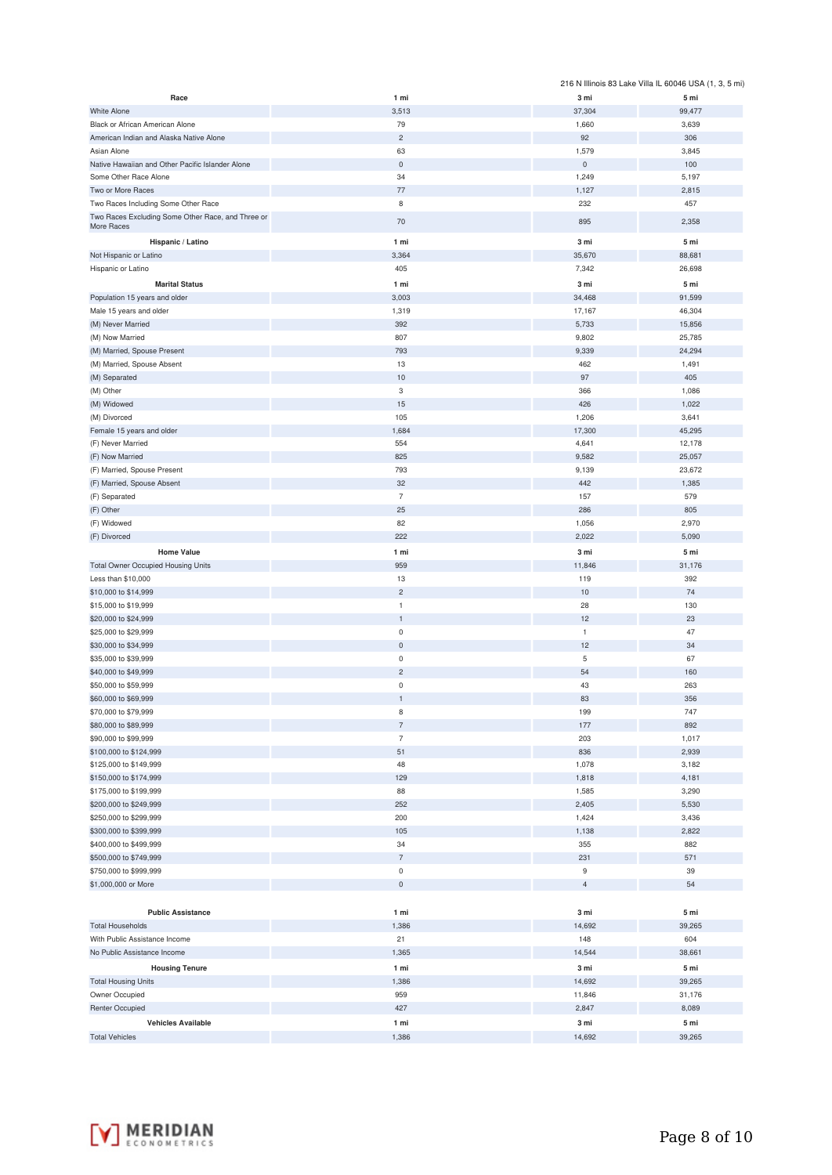|                                                   |                   |                              | 216 N Illinois 83 Lake Villa IL 60046 USA (1, 3, 5 mi) |
|---------------------------------------------------|-------------------|------------------------------|--------------------------------------------------------|
| Race                                              | 1 mi              | 3 mi                         | 5 mi                                                   |
| <b>White Alone</b>                                | 3,513             | 37,304                       | 99,477                                                 |
| Black or African American Alone                   | 79                | 1,660                        | 3,639                                                  |
| American Indian and Alaska Native Alone           | $\overline{c}$    | 92                           | 306                                                    |
| Asian Alone                                       | 63                | 1,579                        | 3,845                                                  |
| Native Hawaiian and Other Pacific Islander Alone  | $\mathbf 0$<br>34 | $\mathsf{O}\xspace$<br>1,249 | 100<br>5,197                                           |
| Some Other Race Alone<br>Two or More Races        | 77                | 1,127                        | 2,815                                                  |
| Two Races Including Some Other Race               | 8                 | 232                          | 457                                                    |
| Two Races Excluding Some Other Race, and Three or |                   |                              |                                                        |
| More Races                                        | 70                | 895                          | 2,358                                                  |
| Hispanic / Latino                                 | 1 mi              | 3 mi                         | 5 mi                                                   |
| Not Hispanic or Latino                            | 3,364             | 35,670                       | 88,681                                                 |
| Hispanic or Latino                                | 405               | 7,342                        | 26,698                                                 |
| <b>Marital Status</b>                             | 1 mi              | 3 mi                         | 5 mi                                                   |
| Population 15 years and older                     | 3,003             | 34,468                       | 91,599                                                 |
| Male 15 years and older                           | 1,319             | 17,167                       | 46,304                                                 |
| (M) Never Married                                 | 392               | 5,733                        | 15,856                                                 |
| (M) Now Married                                   | 807               | 9,802                        | 25,785                                                 |
| (M) Married, Spouse Present                       | 793               | 9,339                        | 24,294                                                 |
| (M) Married, Spouse Absent                        | 13                | 462                          | 1,491                                                  |
| (M) Separated                                     | 10<br>$\,$ 3      | 97<br>366                    | 405<br>1,086                                           |
| (M) Other<br>(M) Widowed                          | 15                | 426                          | 1,022                                                  |
|                                                   | 105               | 1,206                        | 3,641                                                  |
| (M) Divorced<br>Female 15 years and older         | 1,684             | 17,300                       | 45,295                                                 |
| (F) Never Married                                 | 554               | 4,641                        | 12,178                                                 |
| (F) Now Married                                   | 825               | 9,582                        | 25,057                                                 |
| (F) Married, Spouse Present                       | 793               | 9,139                        | 23,672                                                 |
| (F) Married, Spouse Absent                        | 32                | 442                          | 1,385                                                  |
| (F) Separated                                     | $\overline{7}$    | 157                          | 579                                                    |
| (F) Other                                         | 25                | 286                          | 805                                                    |
| (F) Widowed                                       | 82                | 1,056                        | 2,970                                                  |
| (F) Divorced                                      | 222               | 2,022                        | 5,090                                                  |
| <b>Home Value</b>                                 | 1 mi              | 3 mi                         | 5 mi                                                   |
| <b>Total Owner Occupied Housing Units</b>         | 959               | 11,846                       | 31,176                                                 |
| Less than \$10,000                                | 13                | 119                          | 392                                                    |
| \$10,000 to \$14,999                              | $\overline{c}$    | 10                           | 74                                                     |
| \$15,000 to \$19,999                              | $\mathbf{1}$      | 28                           | 130                                                    |
| \$20,000 to \$24,999                              | $\mathbf{1}$      | 12                           | 23                                                     |
| \$25,000 to \$29,999                              | $\mathsf 0$       | $\mathbf{1}$                 | 47                                                     |
| \$30,000 to \$34,999                              | $\mathsf 0$       | 12                           | 34                                                     |
| \$35,000 to \$39,999                              | $\mathsf 0$       | 5                            | 67                                                     |
| \$40,000 to \$49,999                              | $\overline{c}$    | 54                           | 160                                                    |
| \$50,000 to \$59,999                              | 0                 | 43                           | 263                                                    |
| \$60,000 to \$69,999                              | 1                 | 83                           | 356                                                    |
| \$70,000 to \$79,999                              | $\,$ 8            | 199                          | 747                                                    |
| \$80,000 to \$89,999                              | $\overline{7}$    | 177                          | 892                                                    |
| \$90,000 to \$99,999                              | $\overline{7}$    | 203                          | 1,017                                                  |
| \$100,000 to \$124,999                            | 51                | 836                          | 2,939                                                  |
| \$125,000 to \$149,999                            | 48                | 1,078                        | 3,182                                                  |
| \$150,000 to \$174,999                            | 129               | 1,818                        | 4,181                                                  |
| \$175,000 to \$199,999<br>\$200,000 to \$249,999  | 88<br>252         | 1,585<br>2,405               | 3,290<br>5,530                                         |
| \$250,000 to \$299,999                            | 200               | 1,424                        | 3,436                                                  |
| \$300,000 to \$399,999                            | 105               | 1,138                        | 2,822                                                  |
| \$400,000 to \$499,999                            | 34                | 355                          | 882                                                    |
| \$500,000 to \$749,999                            | $\overline{7}$    | 231                          | 571                                                    |
| \$750,000 to \$999,999                            | $\bf 0$           | 9                            | 39                                                     |
| \$1,000,000 or More                               | $\mathsf 0$       | $\overline{4}$               | 54                                                     |
|                                                   |                   |                              |                                                        |
| <b>Public Assistance</b>                          | 1 mi              | 3 mi                         | 5 mi                                                   |
| <b>Total Households</b>                           | 1,386             | 14,692                       | 39,265                                                 |
| With Public Assistance Income                     | 21                | 148                          | 604                                                    |
| No Public Assistance Income                       | 1,365             | 14,544                       | 38,661                                                 |
| <b>Housing Tenure</b>                             | 1 mi              | 3 mi                         | 5 mi                                                   |
| <b>Total Housing Units</b>                        | 1,386             | 14,692                       | 39,265                                                 |
| Owner Occupied                                    | 959               | 11,846                       | 31,176                                                 |
| Renter Occupied                                   | 427               | 2,847                        | 8,089                                                  |
| <b>Vehicles Available</b>                         | 1 mi              | 3 <sub>mi</sub>              | 5 mi                                                   |
| <b>Total Vehicles</b>                             | 1,386             | 14,692                       | 39,265                                                 |

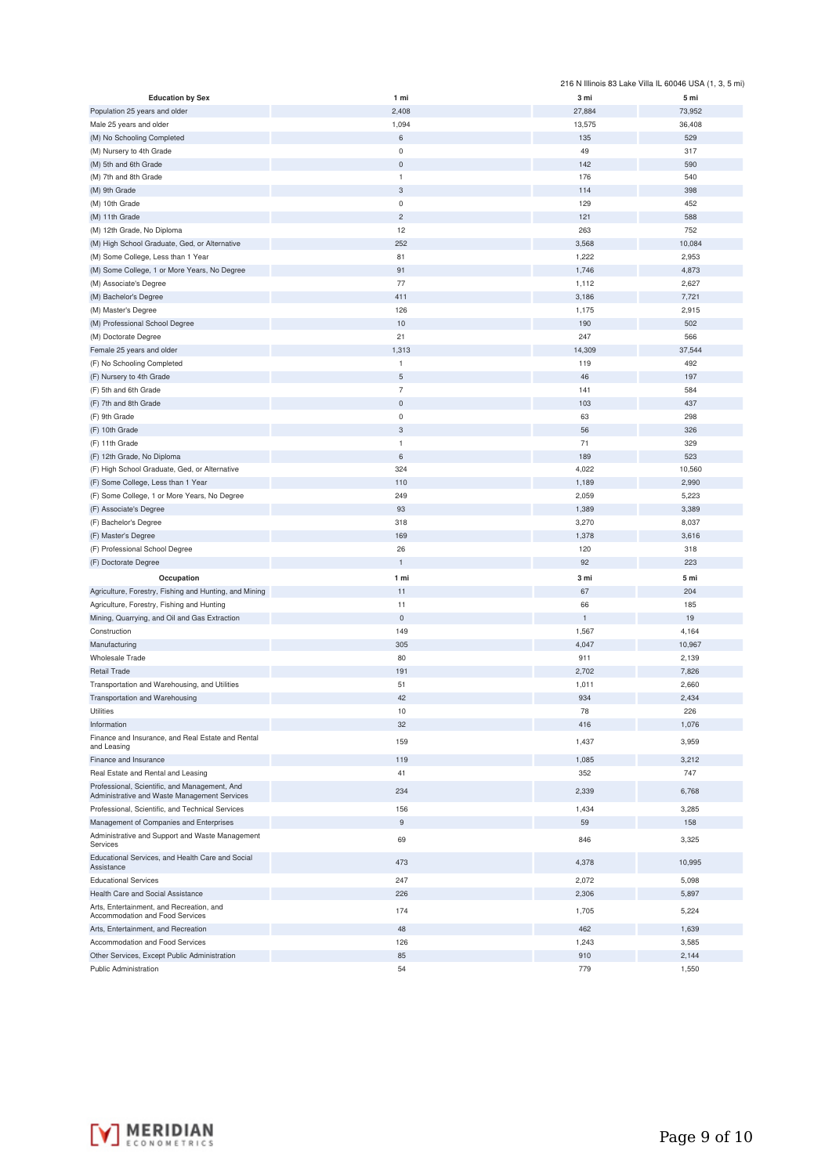|                                                                                               |                     |              | 216 N Illinois 83 Lake Villa IL 60046 USA (1, 3, 5 mi) |
|-----------------------------------------------------------------------------------------------|---------------------|--------------|--------------------------------------------------------|
| <b>Education by Sex</b>                                                                       | 1 mi                | 3 mi         | 5 mi                                                   |
| Population 25 years and older                                                                 | 2,408               | 27,884       | 73,952                                                 |
| Male 25 years and older                                                                       | 1,094               | 13,575       | 36,408                                                 |
| (M) No Schooling Completed                                                                    | 6                   | 135          | 529                                                    |
|                                                                                               | 0                   | 49           | 317                                                    |
| (M) Nursery to 4th Grade                                                                      |                     |              |                                                        |
| (M) 5th and 6th Grade                                                                         | $\mathbf 0$         | 142          | 590                                                    |
| (M) 7th and 8th Grade                                                                         | $\mathbf{1}$        | 176          | 540                                                    |
| (M) 9th Grade                                                                                 | 3                   | 114          | 398                                                    |
| (M) 10th Grade                                                                                | 0                   | 129          | 452                                                    |
| (M) 11th Grade                                                                                | $\overline{c}$      | 121          | 588                                                    |
| (M) 12th Grade, No Diploma                                                                    | 12                  | 263          | 752                                                    |
| (M) High School Graduate, Ged, or Alternative                                                 | 252                 | 3,568        | 10,084                                                 |
|                                                                                               | 81                  |              |                                                        |
| (M) Some College, Less than 1 Year                                                            |                     | 1,222        | 2,953                                                  |
| (M) Some College, 1 or More Years, No Degree                                                  | 91                  | 1,746        | 4,873                                                  |
| (M) Associate's Degree                                                                        | 77                  | 1,112        | 2,627                                                  |
| (M) Bachelor's Degree                                                                         | 411                 | 3,186        | 7,721                                                  |
| (M) Master's Degree                                                                           | 126                 | 1,175        | 2,915                                                  |
| (M) Professional School Degree                                                                | 10                  | 190          | 502                                                    |
| (M) Doctorate Degree                                                                          | 21                  | 247          | 566                                                    |
| Female 25 years and older                                                                     | 1,313               | 14,309       | 37,544                                                 |
|                                                                                               |                     |              |                                                        |
| (F) No Schooling Completed                                                                    | 1                   | 119          | 492                                                    |
| (F) Nursery to 4th Grade                                                                      | 5                   | 46           | 197                                                    |
| (F) 5th and 6th Grade                                                                         | $\overline{7}$      | 141          | 584                                                    |
| (F) 7th and 8th Grade                                                                         | $\pmb{0}$           | 103          | 437                                                    |
| (F) 9th Grade                                                                                 | 0                   | 63           | 298                                                    |
| (F) 10th Grade                                                                                | 3                   | 56           | 326                                                    |
| (F) 11th Grade                                                                                | $\mathbf{1}$        | 71           | 329                                                    |
|                                                                                               | 6                   | 189          | 523                                                    |
| (F) 12th Grade, No Diploma                                                                    |                     |              |                                                        |
| (F) High School Graduate, Ged, or Alternative                                                 | 324                 | 4,022        | 10,560                                                 |
| (F) Some College, Less than 1 Year                                                            | 110                 | 1,189        | 2,990                                                  |
| (F) Some College, 1 or More Years, No Degree                                                  | 249                 | 2,059        | 5,223                                                  |
| (F) Associate's Degree                                                                        | 93                  | 1,389        | 3,389                                                  |
| (F) Bachelor's Degree                                                                         | 318                 | 3,270        | 8,037                                                  |
| (F) Master's Degree                                                                           | 169                 | 1,378        | 3,616                                                  |
| (F) Professional School Degree                                                                | 26                  | 120          | 318                                                    |
|                                                                                               | $\mathbf{1}$        | 92           | 223                                                    |
| (F) Doctorate Degree                                                                          |                     |              |                                                        |
| Occupation                                                                                    | 1 mi                | 3 mi         | 5 mi                                                   |
| Agriculture, Forestry, Fishing and Hunting, and Mining                                        | 11                  | 67           | 204                                                    |
| Agriculture, Forestry, Fishing and Hunting                                                    | 11                  | 66           | 185                                                    |
| Mining, Quarrying, and Oil and Gas Extraction                                                 | $\mathsf{O}\xspace$ | $\mathbf{1}$ | 19                                                     |
| Construction                                                                                  | 149                 | 1,567        | 4,164                                                  |
|                                                                                               | 305                 | 4,047        |                                                        |
| Manufacturing                                                                                 |                     |              | 10,967                                                 |
| <b>Wholesale Trade</b>                                                                        | 80                  | 911          | 2,139                                                  |
| <b>Retail Trade</b>                                                                           | 191                 | 2,702        | 7,826                                                  |
| Transportation and Warehousing, and Utilities                                                 | 51                  | 1,011        | 2,660                                                  |
| Transportation and Warehousing                                                                | 42                  | 934          | 2,434                                                  |
| Utilities                                                                                     | 10                  | 78           | 226                                                    |
| Information                                                                                   | 32                  | 416          | 1,076                                                  |
| Finance and Insurance, and Real Estate and Rental                                             |                     |              |                                                        |
| and Leasing                                                                                   | 159                 | 1,437        | 3,959                                                  |
| Finance and Insurance                                                                         | 119                 | 1,085        | 3,212                                                  |
| Real Estate and Rental and Leasing                                                            | 41                  | 352          | 747                                                    |
|                                                                                               |                     |              |                                                        |
| Professional, Scientific, and Management, And<br>Administrative and Waste Management Services | 234                 | 2,339        | 6,768                                                  |
| Professional, Scientific, and Technical Services                                              | 156                 | 1,434        | 3,285                                                  |
|                                                                                               |                     |              |                                                        |
| Management of Companies and Enterprises                                                       | 9                   | 59           | 158                                                    |
| Administrative and Support and Waste Management<br>Services                                   | 69                  | 846          | 3,325                                                  |
| Educational Services, and Health Care and Social                                              | 473                 | 4,378        | 10,995                                                 |
| Assistance                                                                                    |                     |              |                                                        |
| <b>Educational Services</b>                                                                   | 247                 | 2,072        | 5,098                                                  |
| Health Care and Social Assistance                                                             | 226                 | 2,306        | 5,897                                                  |
| Arts, Entertainment, and Recreation, and                                                      | 174                 | 1,705        | 5,224                                                  |
| Accommodation and Food Services                                                               |                     |              |                                                        |
| Arts, Entertainment, and Recreation                                                           | 48                  | 462          | 1,639                                                  |
| Accommodation and Food Services                                                               | 126                 | 1,243        | 3,585                                                  |
| Other Services, Except Public Administration                                                  | 85                  | 910          | 2,144                                                  |
| Public Administration                                                                         | 54                  | 779          | 1,550                                                  |